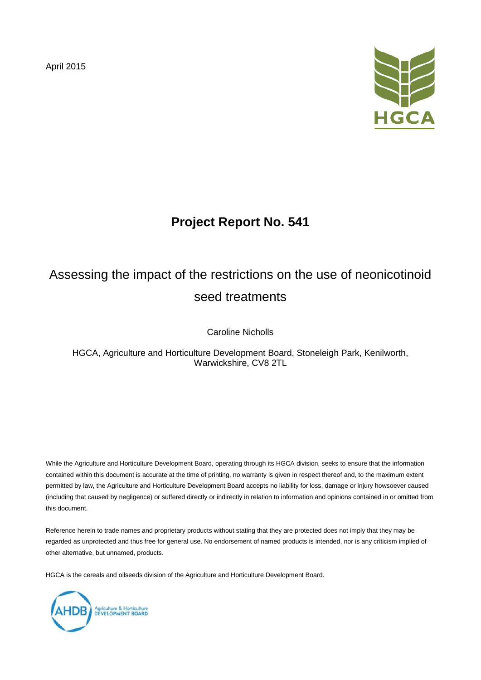April 2015



## **Project Report No. 541**

# Assessing the impact of the restrictions on the use of neonicotinoid seed treatments

Caroline Nicholls

HGCA, Agriculture and Horticulture Development Board, Stoneleigh Park, Kenilworth, Warwickshire, CV8 2TL

While the Agriculture and Horticulture Development Board, operating through its HGCA division, seeks to ensure that the information contained within this document is accurate at the time of printing, no warranty is given in respect thereof and, to the maximum extent permitted by law, the Agriculture and Horticulture Development Board accepts no liability for loss, damage or injury howsoever caused (including that caused by negligence) or suffered directly or indirectly in relation to information and opinions contained in or omitted from this document.

Reference herein to trade names and proprietary products without stating that they are protected does not imply that they may be regarded as unprotected and thus free for general use. No endorsement of named products is intended, nor is any criticism implied of other alternative, but unnamed, products.

HGCA is the cereals and oilseeds division of the Agriculture and Horticulture Development Board.

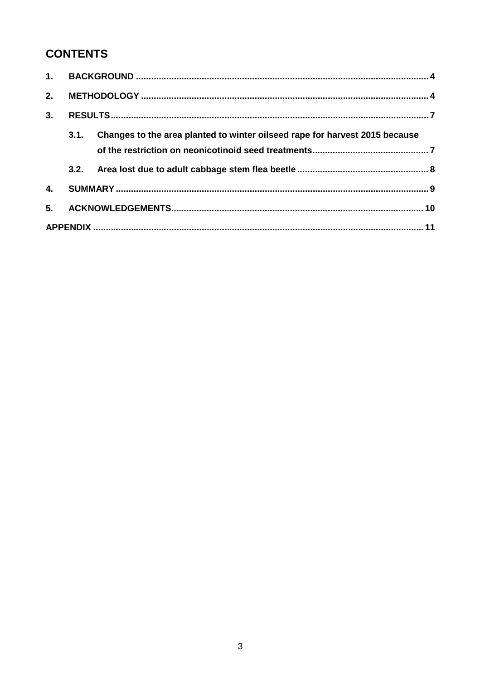## **CONTENTS**

| 2. |      |                                                                             |  |
|----|------|-----------------------------------------------------------------------------|--|
| 3. |      |                                                                             |  |
|    | 3.1. | Changes to the area planted to winter oilseed rape for harvest 2015 because |  |
|    |      |                                                                             |  |
| 4. |      |                                                                             |  |
| 5. |      |                                                                             |  |
|    |      |                                                                             |  |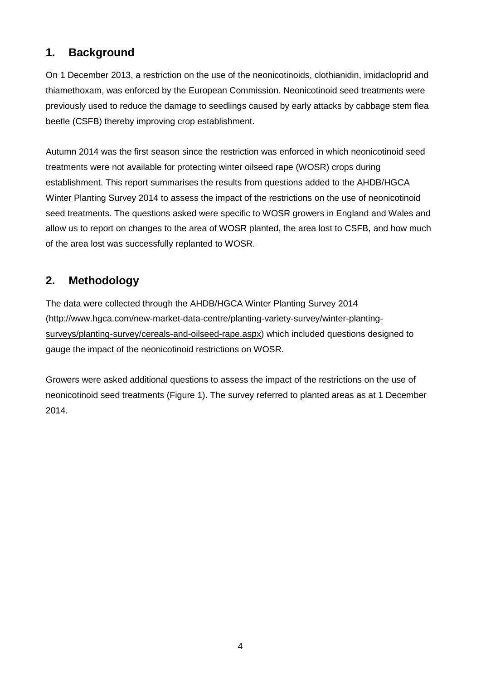## **1. Background**

On 1 December 2013, a restriction on the use of the neonicotinoids, clothianidin, imidacloprid and thiamethoxam, was enforced by the European Commission. Neonicotinoid seed treatments were previously used to reduce the damage to seedlings caused by early attacks by cabbage stem flea beetle (CSFB) thereby improving crop establishment.

Autumn 2014 was the first season since the restriction was enforced in which neonicotinoid seed treatments were not available for protecting winter oilseed rape (WOSR) crops during establishment. This report summarises the results from questions added to the AHDB/HGCA Winter Planting Survey 2014 to assess the impact of the restrictions on the use of neonicotinoid seed treatments. The questions asked were specific to WOSR growers in England and Wales and allow us to report on changes to the area of WOSR planted, the area lost to CSFB, and how much of the area lost was successfully replanted to WOSR.

## **2. Methodology**

The data were collected through the AHDB/HGCA Winter Planting Survey 2014 [\(http://www.hgca.com/new-market-data-centre/planting-variety-survey/winter-planting](http://www.hgca.com/new-market-data-centre/planting-variety-survey/winter-planting-surveys/planting-survey/cereals-and-oilseed-rape.aspx)[surveys/planting-survey/cereals-and-oilseed-rape.aspx\)](http://www.hgca.com/new-market-data-centre/planting-variety-survey/winter-planting-surveys/planting-survey/cereals-and-oilseed-rape.aspx) which included questions designed to gauge the impact of the neonicotinoid restrictions on WOSR.

Growers were asked additional questions to assess the impact of the restrictions on the use of neonicotinoid seed treatments (Figure 1). The survey referred to planted areas as at 1 December 2014.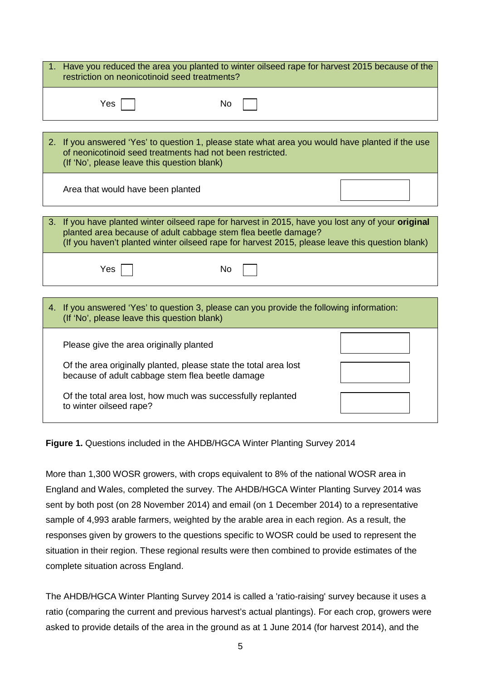| 1. Have you reduced the area you planted to winter oilseed rape for harvest 2015 because of the<br>restriction on neonicotinoid seed treatments?                                                                                                                        |  |  |  |  |
|-------------------------------------------------------------------------------------------------------------------------------------------------------------------------------------------------------------------------------------------------------------------------|--|--|--|--|
| Yes<br>No                                                                                                                                                                                                                                                               |  |  |  |  |
| 2. If you answered 'Yes' to question 1, please state what area you would have planted if the use<br>of neonicotinoid seed treatments had not been restricted.<br>(If 'No', please leave this question blank)                                                            |  |  |  |  |
| Area that would have been planted                                                                                                                                                                                                                                       |  |  |  |  |
| 3. If you have planted winter oilseed rape for harvest in 2015, have you lost any of your original<br>planted area because of adult cabbage stem flea beetle damage?<br>(If you haven't planted winter oilseed rape for harvest 2015, please leave this question blank) |  |  |  |  |
| Yes<br>No                                                                                                                                                                                                                                                               |  |  |  |  |
| 4. If you answered 'Yes' to question 3, please can you provide the following information:<br>(If 'No', please leave this question blank)                                                                                                                                |  |  |  |  |
| Please give the area originally planted                                                                                                                                                                                                                                 |  |  |  |  |
| Of the area originally planted, please state the total area lost<br>because of adult cabbage stem flea beetle damage                                                                                                                                                    |  |  |  |  |
| Of the total area lost, how much was successfully replanted<br>to winter oilseed rape?                                                                                                                                                                                  |  |  |  |  |

**Figure 1.** Questions included in the AHDB/HGCA Winter Planting Survey 2014

More than 1,300 WOSR growers, with crops equivalent to 8% of the national WOSR area in England and Wales, completed the survey. The AHDB/HGCA Winter Planting Survey 2014 was sent by both post (on 28 November 2014) and email (on 1 December 2014) to a representative sample of 4,993 arable farmers, weighted by the arable area in each region. As a result, the responses given by growers to the questions specific to WOSR could be used to represent the situation in their region. These regional results were then combined to provide estimates of the complete situation across England.

The AHDB/HGCA Winter Planting Survey 2014 is called a 'ratio-raising' survey because it uses a ratio (comparing the current and previous harvest's actual plantings). For each crop, growers were asked to provide details of the area in the ground as at 1 June 2014 (for harvest 2014), and the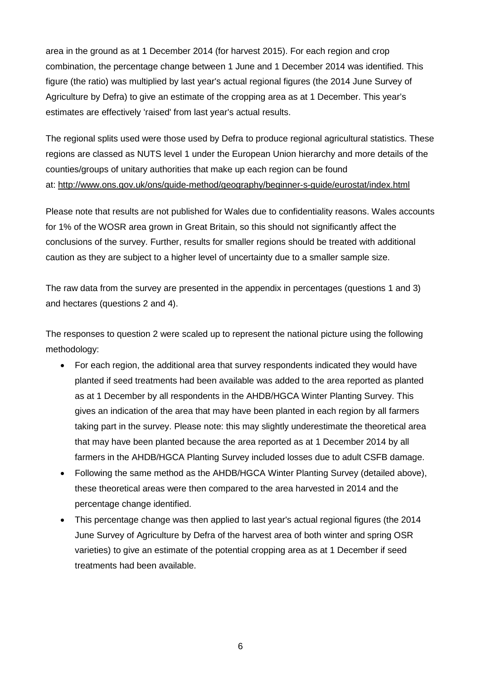area in the ground as at 1 December 2014 (for harvest 2015). For each region and crop combination, the percentage change between 1 June and 1 December 2014 was identified. This figure (the ratio) was multiplied by last year's actual regional figures (the 2014 June Survey of Agriculture by Defra) to give an estimate of the cropping area as at 1 December. This year's estimates are effectively 'raised' from last year's actual results.

The regional splits used were those used by Defra to produce regional agricultural statistics. These regions are classed as NUTS level 1 under the European Union hierarchy and more details of the counties/groups of unitary authorities that make up each region can be found at:<http://www.ons.gov.uk/ons/guide-method/geography/beginner-s-guide/eurostat/index.html>

Please note that results are not published for Wales due to confidentiality reasons. Wales accounts for 1% of the WOSR area grown in Great Britain, so this should not significantly affect the conclusions of the survey. Further, results for smaller regions should be treated with additional caution as they are subject to a higher level of uncertainty due to a smaller sample size.

The raw data from the survey are presented in the appendix in percentages (questions 1 and 3) and hectares (questions 2 and 4).

The responses to question 2 were scaled up to represent the national picture using the following methodology:

- For each region, the additional area that survey respondents indicated they would have planted if seed treatments had been available was added to the area reported as planted as at 1 December by all respondents in the AHDB/HGCA Winter Planting Survey. This gives an indication of the area that may have been planted in each region by all farmers taking part in the survey. Please note: this may slightly underestimate the theoretical area that may have been planted because the area reported as at 1 December 2014 by all farmers in the AHDB/HGCA Planting Survey included losses due to adult CSFB damage.
- Following the same method as the AHDB/HGCA Winter Planting Survey (detailed above), these theoretical areas were then compared to the area harvested in 2014 and the percentage change identified.
- This percentage change was then applied to last year's actual regional figures (the 2014 June Survey of Agriculture by Defra of the harvest area of both winter and spring OSR varieties) to give an estimate of the potential cropping area as at 1 December if seed treatments had been available.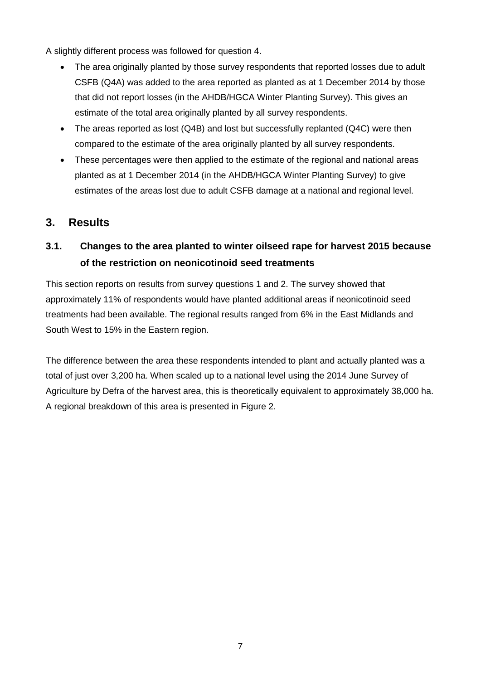A slightly different process was followed for question 4.

- The area originally planted by those survey respondents that reported losses due to adult CSFB (Q4A) was added to the area reported as planted as at 1 December 2014 by those that did not report losses (in the AHDB/HGCA Winter Planting Survey). This gives an estimate of the total area originally planted by all survey respondents.
- The areas reported as lost (Q4B) and lost but successfully replanted (Q4C) were then compared to the estimate of the area originally planted by all survey respondents.
- These percentages were then applied to the estimate of the regional and national areas planted as at 1 December 2014 (in the AHDB/HGCA Winter Planting Survey) to give estimates of the areas lost due to adult CSFB damage at a national and regional level.

### **3. Results**

## **3.1. Changes to the area planted to winter oilseed rape for harvest 2015 because of the restriction on neonicotinoid seed treatments**

This section reports on results from survey questions 1 and 2. The survey showed that approximately 11% of respondents would have planted additional areas if neonicotinoid seed treatments had been available. The regional results ranged from 6% in the East Midlands and South West to 15% in the Eastern region.

The difference between the area these respondents intended to plant and actually planted was a total of just over 3,200 ha. When scaled up to a national level using the 2014 June Survey of Agriculture by Defra of the harvest area, this is theoretically equivalent to approximately 38,000 ha. A regional breakdown of this area is presented in Figure 2.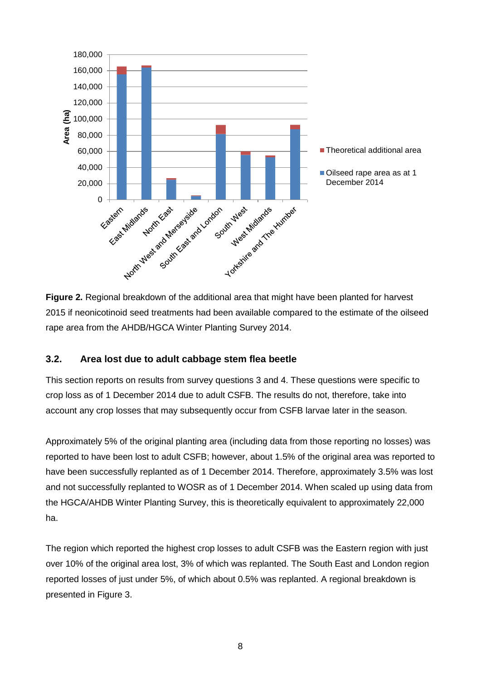

**Figure 2.** Regional breakdown of the additional area that might have been planted for harvest 2015 if neonicotinoid seed treatments had been available compared to the estimate of the oilseed rape area from the AHDB/HGCA Winter Planting Survey 2014.

#### **3.2. Area lost due to adult cabbage stem flea beetle**

This section reports on results from survey questions 3 and 4. These questions were specific to crop loss as of 1 December 2014 due to adult CSFB. The results do not, therefore, take into account any crop losses that may subsequently occur from CSFB larvae later in the season.

Approximately 5% of the original planting area (including data from those reporting no losses) was reported to have been lost to adult CSFB; however, about 1.5% of the original area was reported to have been successfully replanted as of 1 December 2014. Therefore, approximately 3.5% was lost and not successfully replanted to WOSR as of 1 December 2014. When scaled up using data from the HGCA/AHDB Winter Planting Survey, this is theoretically equivalent to approximately 22,000 ha.

The region which reported the highest crop losses to adult CSFB was the Eastern region with just over 10% of the original area lost, 3% of which was replanted. The South East and London region reported losses of just under 5%, of which about 0.5% was replanted. A regional breakdown is presented in Figure 3.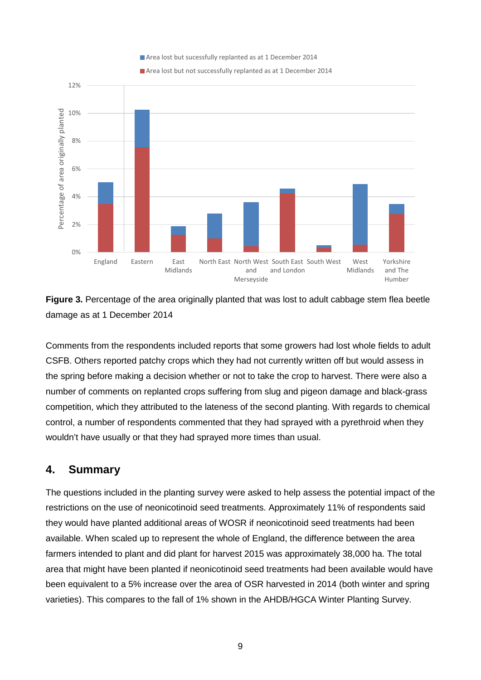Area lost but sucessfully replanted as at 1 December 2014





**Figure 3.** Percentage of the area originally planted that was lost to adult cabbage stem flea beetle damage as at 1 December 2014

Comments from the respondents included reports that some growers had lost whole fields to adult CSFB. Others reported patchy crops which they had not currently written off but would assess in the spring before making a decision whether or not to take the crop to harvest. There were also a number of comments on replanted crops suffering from slug and pigeon damage and black-grass competition, which they attributed to the lateness of the second planting. With regards to chemical control, a number of respondents commented that they had sprayed with a pyrethroid when they wouldn't have usually or that they had sprayed more times than usual.

## **4. Summary**

12%

The questions included in the planting survey were asked to help assess the potential impact of the restrictions on the use of neonicotinoid seed treatments. Approximately 11% of respondents said they would have planted additional areas of WOSR if neonicotinoid seed treatments had been available. When scaled up to represent the whole of England, the difference between the area farmers intended to plant and did plant for harvest 2015 was approximately 38,000 ha. The total area that might have been planted if neonicotinoid seed treatments had been available would have been equivalent to a 5% increase over the area of OSR harvested in 2014 (both winter and spring varieties). This compares to the fall of 1% shown in the AHDB/HGCA Winter Planting Survey.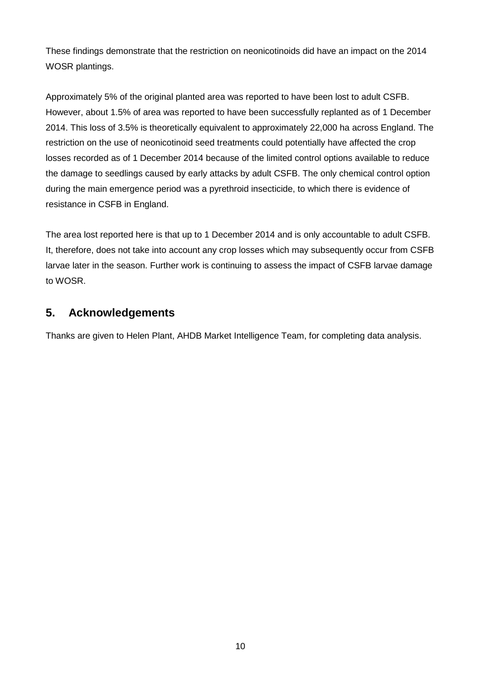These findings demonstrate that the restriction on neonicotinoids did have an impact on the 2014 WOSR plantings.

Approximately 5% of the original planted area was reported to have been lost to adult CSFB. However, about 1.5% of area was reported to have been successfully replanted as of 1 December 2014. This loss of 3.5% is theoretically equivalent to approximately 22,000 ha across England. The restriction on the use of neonicotinoid seed treatments could potentially have affected the crop losses recorded as of 1 December 2014 because of the limited control options available to reduce the damage to seedlings caused by early attacks by adult CSFB. The only chemical control option during the main emergence period was a pyrethroid insecticide, to which there is evidence of resistance in CSFB in England.

The area lost reported here is that up to 1 December 2014 and is only accountable to adult CSFB. It, therefore, does not take into account any crop losses which may subsequently occur from CSFB larvae later in the season. Further work is continuing to assess the impact of CSFB larvae damage to WOSR.

#### **5. Acknowledgements**

Thanks are given to Helen Plant, AHDB Market Intelligence Team, for completing data analysis.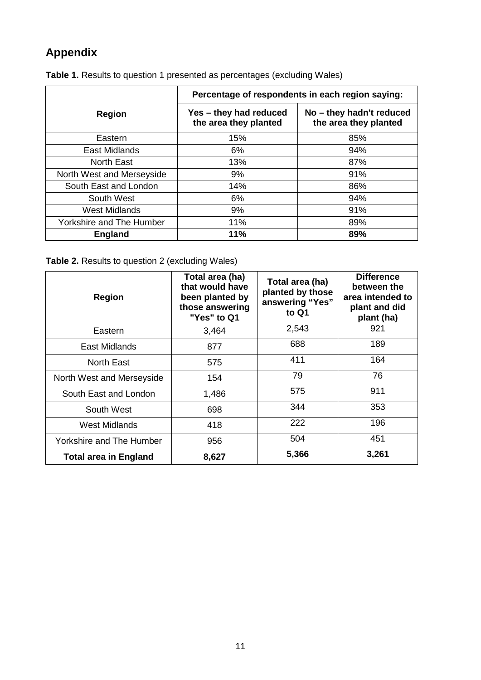## **Appendix**

|                           | Percentage of respondents in each region saying: |                                                   |  |
|---------------------------|--------------------------------------------------|---------------------------------------------------|--|
| <b>Region</b>             | Yes - they had reduced<br>the area they planted  | No - they hadn't reduced<br>the area they planted |  |
| Eastern                   | 15%                                              | 85%                                               |  |
| East Midlands             | 6%                                               | 94%                                               |  |
| <b>North East</b>         | 13%                                              | 87%                                               |  |
| North West and Merseyside | 9%                                               | 91%                                               |  |
| South East and London     | 14%                                              | 86%                                               |  |
| South West                | 6%                                               | 94%                                               |  |
| <b>West Midlands</b>      | 9%                                               | 91%                                               |  |
| Yorkshire and The Humber  | 11%                                              | 89%                                               |  |
| <b>England</b>            | 11%                                              | 89%                                               |  |

**Table 1.** Results to question 1 presented as percentages (excluding Wales)

#### **Table 2.** Results to question 2 (excluding Wales)

| <b>Region</b>                | Total area (ha)<br>that would have<br>been planted by<br>those answering<br>"Yes" to Q1 | Total area (ha)<br>planted by those<br>answering "Yes"<br>to Q1 | <b>Difference</b><br>between the<br>area intended to<br>plant and did<br>plant (ha) |
|------------------------------|-----------------------------------------------------------------------------------------|-----------------------------------------------------------------|-------------------------------------------------------------------------------------|
| Eastern                      | 3,464                                                                                   | 2,543                                                           | 921                                                                                 |
| East Midlands                | 877                                                                                     | 688                                                             | 189                                                                                 |
| North East                   | 575                                                                                     | 411                                                             | 164                                                                                 |
| North West and Merseyside    | 154                                                                                     | 79                                                              | 76                                                                                  |
| South East and London        | 1,486                                                                                   | 575                                                             | 911                                                                                 |
| South West                   | 698                                                                                     | 344                                                             | 353                                                                                 |
| <b>West Midlands</b>         | 418                                                                                     | 222                                                             | 196                                                                                 |
| Yorkshire and The Humber     | 956                                                                                     | 504                                                             | 451                                                                                 |
| <b>Total area in England</b> | 8,627                                                                                   | 5,366                                                           | 3,261                                                                               |